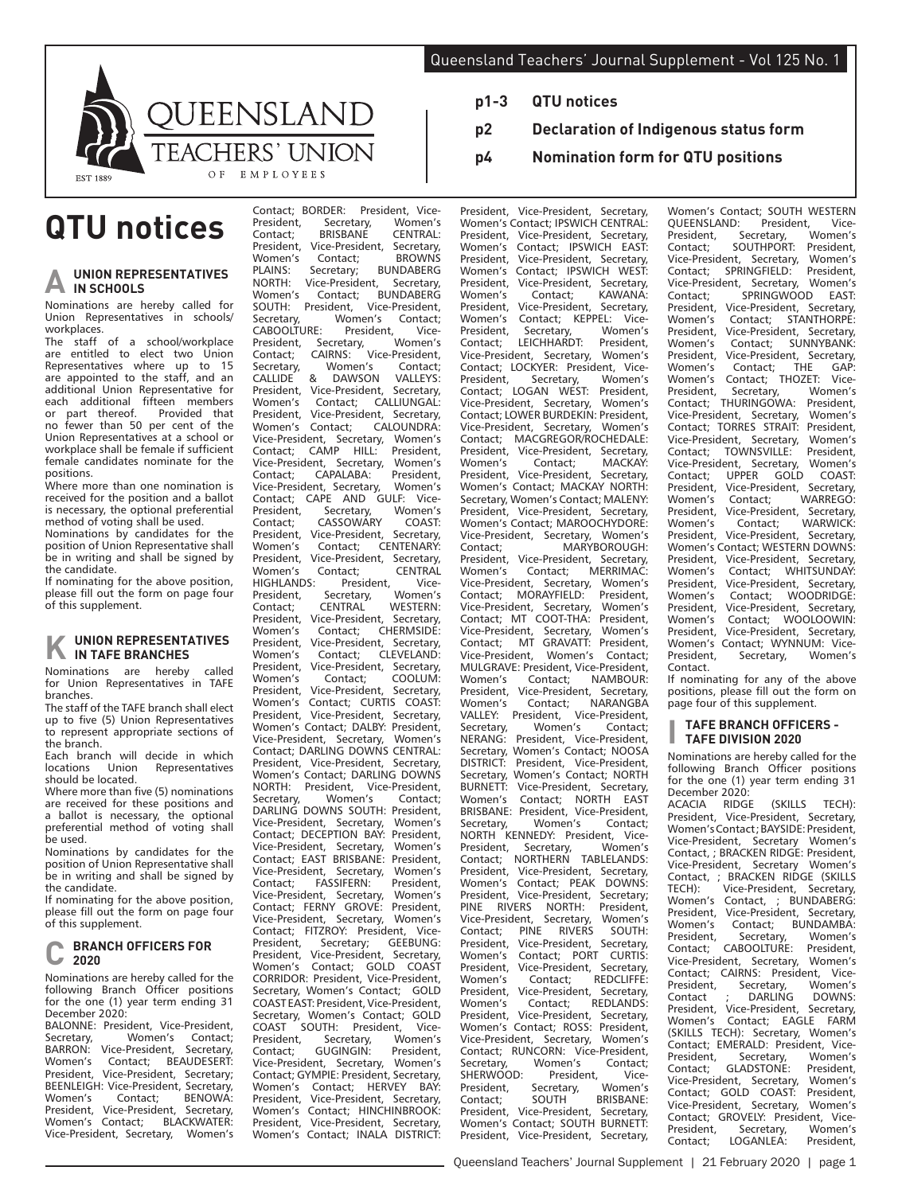

# **QTU notices**

### **UNION REPRESENTATIVES IN SCHOOLS**

Nominations are hereby called for Union Representatives in schools/ workplaces.

The staff of a school/workplace are entitled to elect two Union Representatives where up to 15 are appointed to the staff, and an additional Union Representative for each additional fifteen members<br>or part thereof. Provided that Provided that no fewer than 50 per cent of the Union Representatives at a school or workplace shall be female if sufficient female candidates nominate for the positions.

Where more than one nomination is received for the position and a ballot is necessary, the optional preferential method of voting shall be used.

Nominations by candidates for the position of Union Representative shall be in writing and shall be signed by the candidate.

If nominating for the above position, please fill out the form on page four of this supplement.

#### **UNION REPRESENTATIVES IN TAFE BRANCHES**

Nominations are hereby called for Union Representatives in TAFE branches.

The staff of the TAFE branch shall elect up to five (5) Union Representatives to represent appropriate sections of the branch.

Each branch will decide in which<br>locations Union Representatives Representatives should be located.

Where more than five (5) nominations are received for these positions and a ballot is necessary, the optional preferential method of voting shall be used.

Nominations by candidates for the position of Union Representative shall be in writing and shall be signed by the candidate.

If nominating for the above position. please fill out the form on page four of this supplement.

#### **BRANCH OFFICERS FOR 2020**

Nominations are hereby called for the following Branch Officer positions for the one (1) year term ending 31 December 2020:

BALONNE: President, Vice-President,<br>Secretary Momen's Contact Secretary, Women's Contact;<br>BARRON: Vice-President, Secretary, BARRON: Vice-President,<br>Women's Contact: BE BEAUDESERT<sup>:</sup> President, Vice-President, Secretary; BEENLEIGH: Vice-President, Secretary,<br>Women's Contact: BENOWA: Women's Contact; BENOWA:<br>President. Vice-President. Secretary. President, Vice-President,<br>Women's Contact: BLA BLACKWATER: Vice-President, Secretary, Women's

Contact; BORDER: President, Vice-<br>President, Secretary, Women's President, Secretary, Women's<br>Contact; BRISBANE CENTRAL: Contact; BRISBANÉ CENTRAL:<br>President. Vice-President. Secretary. President, Vice-President,<br>Women's Contact Women's Contact; BROWNS<br>PLAINS: Secretary; BUNDABERG PLAINS: Secretary; BUNDABERG<br>NORTH: Vice-President, Secretary, NORTH: Vice-President,<br>Women's Contact; E Women's Contact; BUNDABERG<br>SOUTH: President, Vice-President, SOUTH: President, Vice-President,<br>Secretary. Women's Contact: Secretary, Women's Contact;<br>CABOOLTURE: President, Vice-CABOOLTURE: President, Vice-<br>President, Secretary, Women's President, Secretary,<br>Contact; CAIRNS: Contact; CAIRNS: Vice-President,<br>Secretary, Women's Contact; Secretary, Women's Contact;<br>CALLIDE & DAWSON VALLEYS: CALLIDE & DAWSON VALLEYS:<br>President, Vice-President, Secretary, President, Vice-President,<br>Women's Contact; CA Women's Contact; CALLIUNGAL:<br>President. Vice-President. Secretary. President, Vice-President, Secretary,<br>Women's Contact; CALOUNDRA: Women's Contact; CALOUNDRA:<br>Vice-President Secretary Women's Vice-President, Secretary, Women's<br>Contact: CAMP HILL: President. CAMP HILL: President,<br>lent Secretary Women's Vice-President, Secretary, Women's CAPALABA: President,<br>nt Secretary Women's Vice-President, Secretary, **Contact; CAPE AND GULF: Vice-**<br>President Secretary Women's President, Secretary, Women's<br>Contact: CASSOWARY COAST Contact; CASSOWARY COAST: President, Vice-President,<br>Women's Contact: C Women's Contact; CENTENARY:<br>President Vice-President Secretary President, Vice-President, Secretary,<br>Women's Contact: CENTRAL tact; CENTRAL<br>President Vice-HIGHLANDS: President, Vice-Secretary, Contact; CENTRAL WESTERN:<br>President. Vice-President. Secretary. President, Vice-President, Women's Contact; CHERMSIDE:<br>President. Vice-President. Secretary. President, Vice-President, Secretary,<br>Women's Contact: CLEVELAND: Women's Contact; CLEVELAND:<br>President Vice-President Secretary President, Vice-President, Secretary,<br>Women's Contact: COOLUM: Women's Contact; COOLUM:<br>President Vice-President Secretary President, Vice-President, Secretary,<br>Women's Contact: CURTIS COAST Contact; CURTIS COAST: President, Vice-President, Secretary, Women's Contact; DALBY: President, Vice-President, Secretary, Women's Contact; DARLING DOWNS CENTRAL: President, Vice-President, Secretary, Women's Contact; DARLING DOWNS NORTH: President, Vice-President,<br>Secretary, Women's Contact; Secretary, Women's Contact; DARLING DOWNS SOUTH: President,<br>Vice-President, Secretary, Women's Vice-President, Secretary, Contact; DECEPTION BAY: President,<br>Vice-President, Secretary, Women's Vice-President, Contact; EAST BRISBANE: President, Vice-President, Secretary, Women's<br>Contact: FASSIFERN: President. FASSIFERN: President,<br>ent. Secretary. Women's Vice-President, Secretary, Contact; FERNY GROVE: President,<br>Vice-President, Secretary, Women's Vice-President, Secretary, Contact; FITZROY: President, Vice-<br>President, Secretary; GEEBUNG: President, Secretary; GEEBUNG:<br>President, Vice-President, Secretary, President, Vice-President, Secretary,<br>Women's Contact: GOLD COAST Contact; GOLD COAST CORRIDOR: President, Vice-President, Secretary, Women's Contact; GOLD COAST EAST: President, Vice-President, Secretary, Women's Contact; GOLD<br>COAST SOUTH: President. Vicey Norman President, Vice-<br>COUTH: President, Vice-<br>Contractory, Women's President, Secretary, Women's<br>Contact: GUGINGIN: President. Contact; GUGINGIN: President, Vice-President, Secretary, Women's Contact; GYMPIE: President, Secretary, Women's Contact; HERVEY BAY: President, Vice-President, Secretary, Women's Contact; HINCHINBROOK: President, Vice-President, Secretary, Women's Contact; INALA DISTRICT:

- **p1-3 QTU notices**
- **p2 Declaration of Indigenous status form**
- **p4 Nomination form for QTU positions**

President, Vice-President, Secretary, Women's Contact; IPSWICH CENTRAL: President, Vice-President, Secretary,<br>Women's Contact; IPSWICH EAST: Women's Contact; IPSWICH EAST:<br>President, Vice-President, Secretary, President, Vice-President, Secretary,<br>Women's Contact; IPSWICH WEST: Women's Contact; IPSWICH WEST:<br>President. Vice-President. Secretary. President, Vice-President, Secretary,<br>Women's Contact; KAWANA: Women's Contact; KAWANA:<br>President, Vice-President, Secretary, President, Vice-President, Secretary,<br>Women's Contact; KEPPEL: Vice-Contact; KEPPEL: Vice-<br>Secretary, Women's President, Secretary, Women's<br>Contact; LEICHHARDT: President, LEICHHARDT: Vice-President, Secretary, Women's Contact; LOCKYER: President, Vice-<br>President. Secretary. Women's President, Secretary, Women's Contact; LOGAN WEST: President, Vice-President, Secretary, Women's Contact; LOWER BURDEKIN: President, Vice-President, Secretary, Women's<br>Contact: MACGREGOR/ROCHEDALE: MACGREGOR/ROCHEDALE: President, Vice-President, Secretary,<br>Women's Contact: MACKAY Women's Contact; MACKAY:<br>President Vice-President Secretary Vice-President Women's Contact; MACKAY NORTH: Secretary, Women's Contact; MALENY: President. Vice-President, Secretary, Women's Contact; MAROOCHYDORE: Vice-President, Secretary, Women's Contact; MARYBOROUGH: President, Vice-President, Secretary,<br>Women's Contact: MERRIMAC: Contact; MERRIMAC:<br>it Secretary Women's Vice-President, Secretary, Women's<br>Contact; MORAYFIELD: President, MORAYFIELD: President,<br>lent Secretary Women's Vice-President, Secretary, Women's<br>Contact: MT COOT-THA: President. Contact; MT COOT-THA: President,<br>Vice-President, Secretary, Women's Vice-President, Secretary, Women's<br>Contact: MT GRAVATT: President. MT GRAVATT: President,<br>ent. Women's Contact: USHEER,<br>Vice-President, MULGRAVE: President, Vice-President, Women's Contact; NAMBOUR:<br>President Vice-President Secretary President, Vice-President, Secretary,<br>Women's Contact: NARANGBA Women's Contact;<br>VALLEY: President, President, Vice-President, Secretary, Women's Contact;<br>NERANG: President, Vice-President, President, Vice-President, Secretary, Women's Contact; NOOSA<br>DISTRICT: President, Vice-President, President, Vice-President, Secretary, Women's Contact; NORTH<br>BURNETT: Vice-President, Secretary, BURNETT: Vice-President, Secretary,<br>Women's Contact: NORTH EAST Contact; NORTH EAST BRISBANE: President, Vice-President,<br>Secretary, Women's Contact; Women's NORTH KENNEDY: President, Vice-<br>President, Secretary, Women's President, Secretary,<br>Contact: NORTHERN TABLELANDS: President, Vice-President, Secretary,<br>Women's Contact: PEAK DOWNS: Women's Contact; PEAK DOWNS:<br>President, Vice-President, Secretary; President, Vice-President, Secretary;<br>PINE RIVERS NORTH: President NORTH: President,<br>Secretary, Women's Vice-President, Secretary, Women's<br>Contact: PINE RIVERS SOUTH: Contact; PINE RIVERS SOUTH:<br>President, Vice-President, Secretary, President, Vice-President,<br>Women's Contact; POR Women's Contact; PORT CURTIS:<br>President Vice-President Secretary President, Vice-President, Secretary,<br>Women's Contact; REDCLIFFE: Women's Contact; REDCLIFFE:<br>President Vice-President Secretary President, Vice-President, Secretary,<br>Women's Contact; REDLANDS: Women's Contact; REDLANDS:<br>President Vice-President Secretary President, Vice-President, Secretary, Women's Contact; ROSS: President, Vice-President, Secretary, Women's Contact; RUNCORN: Vice-President, Secretary, Women's Contact;<br>SHERWOOD: President Vice-SHERWOOD: President, Vice-<br>President, Secretary, Women's President, Secretary,<br>Contact: SOUTH Contact; SOUTH BRISBANE:<br>President. Vice-President. Secretary. President, Vice-President, Women's Contact; SOUTH BURNETT: President, Vice-President, Secretary,

Women's Contact; SOUTH WESTERN<br>OUEENSLAND: President, Vice-QUEENSLAND: President, Vice-<br>President, Secretary, Women's President, Secretary, Women's<br>Contact: SOUTHPORT: President, SOUTHPORT: President,<br>nt, Secretary, Women's Vice-President, Secretary, Women's<br>Contact; SPRINGFIELD: President, SPRINGFIELD: President,<br>ent, Secretary, Women's Vice-President, Secretary, Women's Contact; SPRINGWOOD<br>President, Vice-President, S President, Vice-President, Secretary,<br>Women's Contact; STANTHORPE: Women's Contact; STANTHORPE:<br>President Vice-President Secretary President, Vice-President, Secretary,<br>Women's Contact: SUNNYBANK: Women's Contact; SUNNYBANK:<br>President Vice-President Secretary President, Vice-President, Secretary, Women's Contact; THE GAP: Women's Contact; THOZET: Vice-<br>President Secretary Women's President, Secretary, Women's<br>Contact: THURINGOWA: President. THURINGOWA: President,<br>Jent Secretary Women's Vice-President, Secretary, Contact; TORRES STRAIT: President,<br>Vice-President Secretary Women's Vice-President, Secretary, Women's<br>Contact: TOWNSVILLE: President TOWNSVILLE: President, Vice-President, Secretary, Women's<br>Contact: UPPER GOLD COAST Contact; UPPER GOLD<br>President Vice-President President, Vice-President, Secretary,<br>Women's Contact: WARREGO: Women's Contact; WARREGO:<br>President, Vice-President, Secretary, President, Vice-President, Secretary,<br>Women's Contact: WARWICK: Women's Contact;<br>President. Vice-Preside Vice-President, Secretary, Women's Contact; WESTERN DOWNS:<br>President, Vice-President, Secretary, President, Vice-President, Secretary,<br>Women's Contact: WHITSUNDAY: Women's Contact; WHITSUNDAY:<br>President Vice-President Secretary President, Vice-President, Secretary,<br>Women's Contact: WOODRIDGE: Women's Contact;<br>President. Vice-Preside President, Vice-President, Secretary,<br>Women's Contact: WOOLOOWIN: Women's Contact; WOOLOOWIN:<br>President Vice-President Secretary Vice-President, Secretary, Women's Contact; WYNNUM: Vice-<br>President Secretary. Women's Secretary, Contact.

If nominating for any of the above positions, please fill out the form on page four of this supplement.

#### **I TAFE BRANCH OFFICERS - TAFE DIVISION 2020**

Nominations are hereby called for the following Branch Officer positions for the one (1) year term ending 31 December 2020:<br>ACACIA RIDGE ACACIA RIDGE (SKILLS TECH): President, Vice-President, Secretary, Women's Contact ; BAYSIDE: President, Vice-President, Secretary Women's Contact, ; BRACKEN RIDGE: President, Vice-President, Secretary Women's Contact, ; BRACKEN RIDGE (SKILLS TECH): Vice-President, Secretary,<br>Women's Contact · BUNDABERG: Women's Contact, ; BUNDABERG:<br>President Vice-President Secretary President, Vice-President, Secretary,<br>Women's Contact: BUNDAMBA: Edit Freshamily, Searctary,<br>Contact; BUNDAMBA:<br>Secretary Women's President, Secretary, Women's<br>Contact: CABOOLTURE: President. Contact; CABOOLTURE: Vice-President, Secretary, Women's Contact; CAIRNS: President, Vice-President, Secretary, Women's Contact : DARLING DOWNS: President, Vice-President, Secretary, Women's Contact; EAGLE FARM (SKILLS TECH): Secretary, Women's Contact; EMERALD: President, Vice-<br>President. Secretary. Women's President, Secretary, Women's<br>Contact: GLADSTONE: President GLADSTONE: President, Vice-President, Secretary, Vice Fresident, Secretary, Women's<br>Contact; GOLD COAST: President, Vice-President, Secretary, Women's Vice-President, Secretary, Contact; GROVELY: President, Vice-<br>President, Secretary, Women's Secretary, Contact; LOGANLEA: President,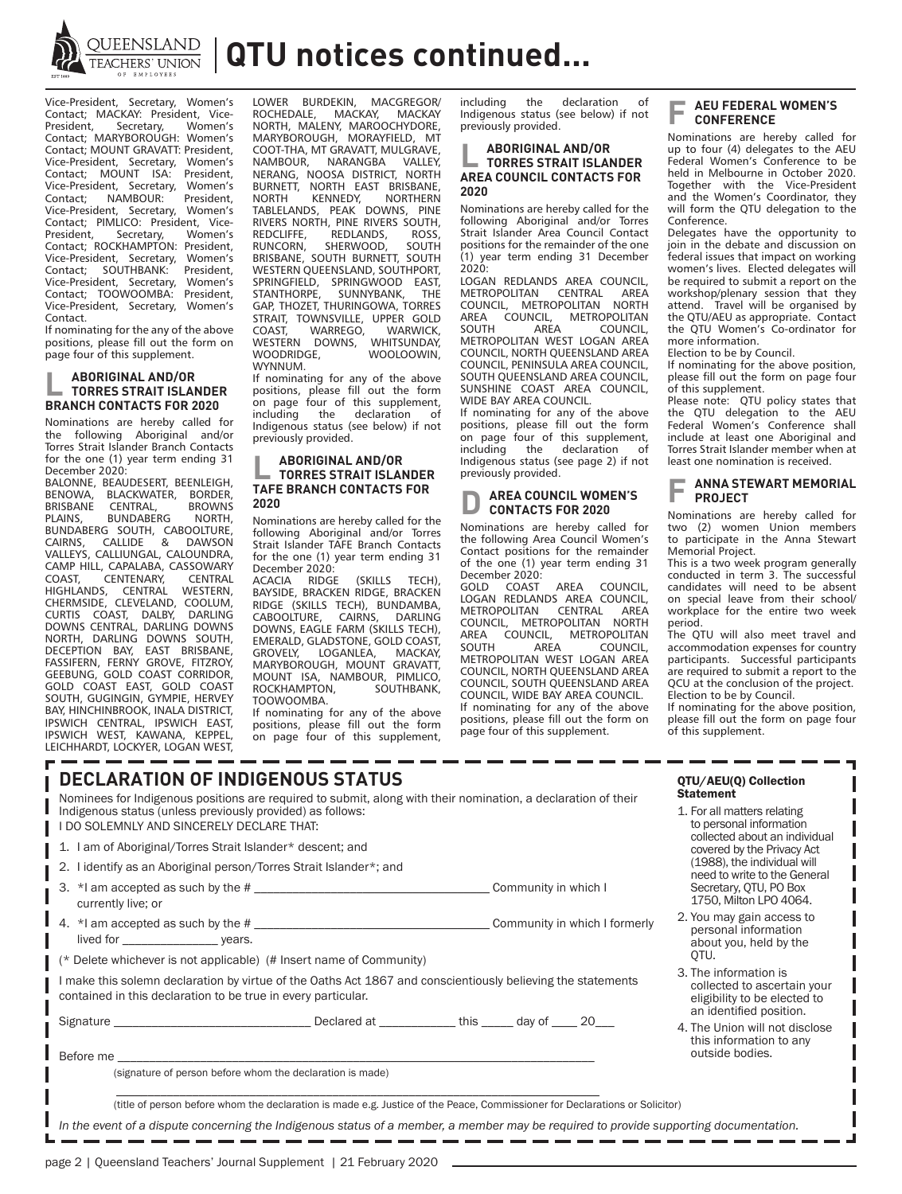

**QUEENSLAND | QTU notices continued...** 

Vice-President, Secretary, Women's Contact; MACKAY: President, Vice-<br>President, Secretary, Women's President, Secretary, Women's Contact; MARYBOROUGH: Women's Contact; MOUNT GRAVATT: President, Vice-President, Secretary, Women's Contact; MOUNT ISA: President, Vice-President, Secretary, Women's<br>Contact; NAMBOUR: President, NAMBOUR: Vice-President, Secretary, Women's Contact; PIMLICO: President, Vice-<br>President, Secretary, Women's Secretary, Contact; ROCKHAMPTON: President, Vice-President, Secretary, Women's Contact; SOUTHBANK: President, Vice-President, Secretary, Women's Contact; TOOWOOMBA: President, Vice-President, Secretary, Women's Contact.

If nominating for the any of the above positions, please fill out the form on page four of this supplement.

## **L ABORIGINAL AND/OR TORRES STRAIT ISLANDER BRANCH CONTACTS FOR 2020**

Nominations are hereby called for the following Aboriginal and/or Torres Strait Islander Branch Contacts for the one (1) year term ending 31 December 2020: BALONNE, BEAUDESERT, BEENLEIGH,<br>BENOWA, BLACKWATER, BORDER, BENOWATER, BORDER,<br>BLACKWATER, BORDER,<br>CENTRAL BROWNS BRISBANE CENTRAL, BROWNS<br>PLAINS BUNDABERG NORTH **BUNDABERG** BUNDABERG SOUTH, CABOOLTURE, CAIRNS, CALLIDE & DAWSON VALLEYS, CALLIUNGAL, CALOUNDRA, MILL, CAPALABA, CASSOWARY<br>COAST, CENTENARY, CENTRAL COAST, CENTENARY, CENTRAL HIGHLANDS, CENTRAL WESTERN, CHERMSIDE, CLEVELAND, COOLUM, CURTIS COAST, DALBY, DARLING DOWNS CENTRAL, DARLING DOWNS

NORTH, DARLING DOWNS SOUTH, DECEPTION BAY, EAST BRISBANE, FASSIFERN, FERNY GROVE, FITZROY, GEEBUNG, GOLD COAST CORRIDOR, GOLD COAST EAST, GOLD COAST SOUTH, GUGINGIN, GYMPIE, HERVEY BAY, HINCHINBROOK, INALA DISTRICT, IPSWICH CENTRAL, IPSWICH EAST, IPSWICH WEST, KAWANA, KEPPEL, LEICHHARDT, LOCKYER, LOGAN WEST,

LOWER BURDEKIN, MACGREGOR/<br>ROCHEDALE, MACKAY, MACKAY ROCHEDALE, MACKAY, MACKAY NORTH, MALENY, MAROOCHYDORE, MARYBOROUGH, MORAYFIELD, MT **COOT-THA, MT GRAVATT, MULGRAVE,<br>NAMBOUR, NARANGBA VALLEY,** NARANGBA VALLEY, NERANG, NOOSA DISTRICT, NORTH BURNETT, NORTH EAST BRISBANE, NORTH KENNEDY, NORTHERN TABLELANDS, PEAK DOWNS, PINE RIVERS NORTH, PINE RIVERS SOUTH, REDCLIFFE, REDLANDS, ROSS,<br>RUNCORN, SHERWOOD, SOUTH SHERWOOD, BRISBANE, SOUTH BURNETT, SOUTH WESTERN QUEENSLAND, SOUTHPORT, SPRINGFIELD, SPRINGWOOD EAST,<br>STANTHORPE SUNNYBANK THE SUNNYBANK, GAP, THOZET, THURINGOWA, TORRES STRAIT, TOWNSVILLE, UPPER GOLD<br>COAST, WARREGO, WARWICK, WARREGO, WARWICK,<br>DOWNS, WHITSUNDAY, WESTERN DOWNS, WOOLOOWIN, WYNNUM.

If nominating for any of the above positions, please fill out the form on page four of this supplement, including the declaration of Indigenous status (see below) if not previously provided.

### **L ABORIGINAL AND/OR TORRES STRAIT ISLANDER TAFE BRANCH CONTACTS FOR 2020**

Nominations are hereby called for the following Aboriginal and/or Torres Strait Islander TAFE Branch Contacts for the one (1) year term ending 31

December 2020:<br>ACACIA RIDGE (SKILLS TECH), BAYSIDE, BRACKEN RIDGE, BRACKEN RIDGE (SKILLS TECH), BUNDAMBA,<br>CABOOLTURE, CAIRNS, DARLING CABOOLTURE, DOWNS, EAGLE FARM (SKILLS TECH), EMERALD, GLADSTONE, GOLD COAST,<br>GROVELY, LOGANLEA, MACKAY, LOGANLEA. MARYBOROUGH, MOUNT GRAVATT, MOUNT ISA, NAMBOUR, PIMLICO,<br>ROCKHAMPTON. SOUTHBANK. ROCKHAMPTON, TOOWOOMBA.

If nominating for any of the above positions, please fill out the form on page four of this supplement, including the declaration of Indigenous status (see below) if not previously provided.

#### **L ABORIGINAL AND/OR TORRES STRAIT ISLANDER AREA COUNCIL CONTACTS FOR 2020**

Nominations are hereby called for the following Aboriginal and/or Torres Strait Islander Area Council Contact positions for the remainder of the one (1) year term ending 31 December  $2020$ 

LOGAN REDLANDS AREA COUNCIL, METROPOLITAN CENTRAL AREA COUNCIL, METROPOLITAN NORTH AREA COUNCIL, METROPOLITAN  $COMIMCH$ METROPOLITAN WEST LOGAN AREA COUNCIL, NORTH QUEENSLAND AREA COUNCIL, PENINSULA AREA COUNCIL, SOUTH QUEENSLAND AREA COUNCIL, SUNSHINE COAST AREA COUNCIL, WIDE BAY AREA COUNCIL.

If nominating for any of the above positions, please fill out the form on page four of this supplement,<br>including the declaration of the declaration of Indigenous status (see page 2) if not previously provided.

#### **AREA COUNCIL WOMEN'S CONTACTS FOR 2020**

Nominations are hereby called for the following Area Council Women's Contact positions for the remainder of the one (1) year term ending 31

December 2020:<br>GOLD COAST GOLD COAST AREA COUNCIL, LOGAN REDLANDS AREA COUNCIL, METROPOLITAN CENTRAL AREA COUNCIL, METROPOLITAN NORTH AREA COUNCIL, METROPOLITAN SOUTH AREA COUNCIL METROPOLITAN WEST LOGAN AREA COUNCIL, NORTH QUEENSLAND AREA COUNCIL, SOUTH QUEENSLAND AREA COUNCIL, WIDE BAY AREA COUNCIL. If nominating for any of the above positions, please fill out the form on page four of this supplement.

### **AEU FEDERAL WOMEN'S CONFERENCE**

Nominations are hereby called for up to four (4) delegates to the AEU Federal Women's Conference to be held in Melbourne in October 2020. Together with the Vice-President and the Women's Coordinator, they will form the QTU delegation to the Conference.

Delegates have the opportunity to join in the debate and discussion on federal issues that impact on working women's lives. Elected delegates will be required to submit a report on the workshop/plenary session that they attend. Travel will be organised by the QTU/AEU as appropriate. Contact the QTU Women's Co-ordinator for more information.

Election to be by Council.

If nominating for the above position, please fill out the form on page four of this supplement.

Please note: QTU policy states that the QTU delegation to the AEU Federal Women's Conference shall include at least one Aboriginal and Torres Strait Islander member when at least one nomination is received.

#### **ANNA STEWART MEMORIAL PROJECT**

Nominations are hereby called for two (2) women Union members to participate in the Anna Stewart Memorial Project.

This is a two week program generally conducted in term 3. The successful candidates will need to be absent on special leave from their school/ workplace for the entire two week period.

The QTU will also meet travel and accommodation expenses for country participants. Successful participants are required to submit a report to the QCU at the conclusion of the project. Election to be by Council.

If nominating for the above position, please fill out the form on page four of this supplement.

| <b>DECLARATION OF INDIGENOUS STATUS</b><br>Nominees for Indigenous positions are required to submit, along with their nomination, a declaration of their<br>Indigenous status (unless previously provided) as follows:<br>I DO SOLEMNLY AND SINCERELY DECLARE THAT:<br>1. I am of Aboriginal/Torres Strait Islander* descent; and<br>2. I identify as an Aboriginal person/Torres Strait Islander*; and | QTU/AEU(Q) Collection<br><b>Statement</b><br>1. For all matters relating<br>to personal information<br>collected about an individual<br>covered by the Privacy Act<br>(1988), the individual will<br>need to write to the General |                                                                                     |  |  |  |  |  |
|---------------------------------------------------------------------------------------------------------------------------------------------------------------------------------------------------------------------------------------------------------------------------------------------------------------------------------------------------------------------------------------------------------|-----------------------------------------------------------------------------------------------------------------------------------------------------------------------------------------------------------------------------------|-------------------------------------------------------------------------------------|--|--|--|--|--|
| 3. *I am accepted as such by the #<br>currently live; or                                                                                                                                                                                                                                                                                                                                                |                                                                                                                                                                                                                                   | Secretary, QTU, PO Box<br>1750, Milton LPO 4064.                                    |  |  |  |  |  |
| (* Delete whichever is not applicable) (# Insert name of Community)                                                                                                                                                                                                                                                                                                                                     |                                                                                                                                                                                                                                   | 2. You may gain access to<br>personal information<br>about you, held by the<br>OTU. |  |  |  |  |  |
| I make this solemn declaration by virtue of the Oaths Act 1867 and conscientiously believing the statements<br>contained in this declaration to be true in every particular.                                                                                                                                                                                                                            | 3. The information is<br>collected to ascertain your<br>eligibility to be elected to<br>an identified position.                                                                                                                   |                                                                                     |  |  |  |  |  |
| Signature entertainment and the second behavior of the second behavior of the second behavior of the second behavior of the second behavior of the second behavior of the second behavior of the second behavior of the second<br>Before me                                                                                                                                                             |                                                                                                                                                                                                                                   | 4. The Union will not disclose<br>this information to any<br>outside bodies.        |  |  |  |  |  |
| (signature of person before whom the declaration is made)                                                                                                                                                                                                                                                                                                                                               |                                                                                                                                                                                                                                   |                                                                                     |  |  |  |  |  |
| In the event of a dispute concerning the Indigenous status of a member, a member may be required to provide supporting documentation.                                                                                                                                                                                                                                                                   | (title of person before whom the declaration is made e.g. Justice of the Peace, Commissioner for Declarations or Solicitor)                                                                                                       |                                                                                     |  |  |  |  |  |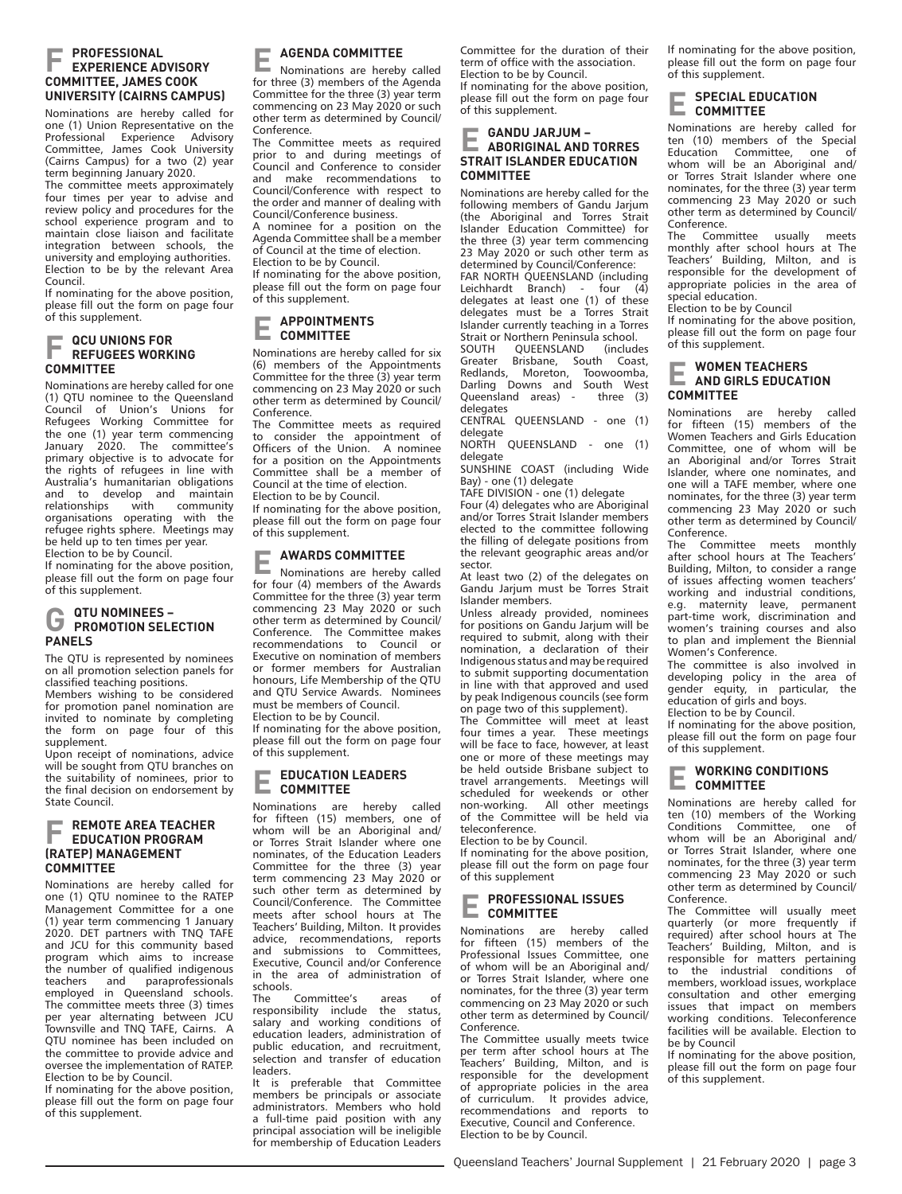#### **F PROFESSIONAL EXPERIENCE ADVISORY COMMITTEE, JAMES COOK UNIVERSITY (CAIRNS CAMPUS)**

Nominations are hereby called for one (1) Union Representative on the Professional Experience Advisory Committee, James Cook University (Cairns Campus) for a two (2) year term beginning January 2020.

The committee meets approximately four times per year to advise and review policy and procedures for the school experience program and to maintain close liaison and facilitate integration between schools, the university and employing authorities. Election to be by the relevant Area Council.

If nominating for the above position, please fill out the form on page four of this supplement.

## **F QCU UNIONS FOR REFUGEES WORKING COMMITTEE**

Nominations are hereby called for one (1) QTU nominee to the Queensland Council of Union's Unions for Refugees Working Committee for the one (1) year term commencing January 2020. The committee's primary objective is to advocate for the rights of refugees in line with Australia's humanitarian obligations and to develop and maintain<br>relationships with community community organisations operating with the refugee rights sphere. Meetings may be held up to ten times per year. Election to be by Council.

If nominating for the above position, please fill out the form on page four of this supplement.

## **G QTU NOMINEES – PROMOTION SELECTION PANELS**

The QTU is represented by nominees on all promotion selection panels for classified teaching positions.

Members wishing to be considered for promotion panel nomination are invited to nominate by completing the form on page four of this supplement.

Upon receipt of nominations, advice will be sought from QTU branches on the suitability of nominees, prior to the final decision on endorsement by State Council.

#### **F REMOTE AREA TEACHER EDUCATION PROGRAM (RATEP) MANAGEMENT COMMITTEE**

Nominations are hereby called for one (1) QTU nominee to the RATEP Management Committee for a one (1) year term commencing 1 January 2020. DET partners with TNQ TAFE and JCU for this community based program which aims to increase the number of qualified indigenous<br>teachers and paraprofessionals teachers and paraprofessionals employed in Queensland schools. The committee meets three (3) times per year alternating between JCU Townsville and TNQ TAFE, Cairns. A QTU nominee has been included on the committee to provide advice and oversee the implementation of RATEP. Election to be by Council.

If nominating for the above position, please fill out the form on page four of this supplement.

### **E AGENDA COMMITTEE**

Nominations are hereby called for three (3) members of the Agenda Committee for the three (3) year term commencing on 23 May 2020 or such other term as determined by Council/ Conference.

The Committee meets as required prior to and during meetings of Council and Conference to consider and make recommendations to Council/Conference with respect to the order and manner of dealing with Council/Conference business.

A nominee for a position on the Agenda Committee shall be a member of Council at the time of election. Election to be by Council.

If nominating for the above position, please fill out the form on page four of this supplement.

#### **E APPOINTMENTS COMMITTEE**

Nominations are hereby called for six (6) members of the Appointments Committee for the three (3) year term commencing on 23 May 2020 or such other term as determined by Council/ Conference.

The Committee meets as required to consider the appointment of Officers of the Union. A nominee for a position on the Appointments Committee shall be a member of Council at the time of election.

Election to be by Council. If nominating for the above position, please fill out the form on page four of this supplement.

**E AWARDS COMMITTEE** Nominations are hereby called for four (4) members of the Awards Committee for the three (3) year term commencing 23 May 2020 or such other term as determined by Council/ Conference. The Committee makes recommendations to Council or Executive on nomination of members or former members for Australian honours, Life Membership of the QTU and QTU Service Awards. Nominees must be members of Council.

Election to be by Council.

If nominating for the above position, please fill out the form on page four of this supplement.

#### **E EDUCATION LEADERS COMMITTEE**

Nominations are hereby called for fifteen (15) members, one of whom will be an Aboriginal and/ or Torres Strait Islander where one nominates, of the Education Leaders Committee for the three (3) year term commencing 23 May 2020 or such other term as determined by Council/Conference. The Committee meets after school hours at The Teachers' Building, Milton. It provides advice, recommendations, reports and submissions to Committees, Executive, Council and/or Conference in the area of administration of

schools.<br>The Committee's areas of responsibility include the status, salary and working conditions of education leaders, administration of public education, and recruitment, selection and transfer of education leaders.

It is preferable that Committee members be principals or associate administrators. Members who hold a full-time paid position with any principal association will be ineligible for membership of Education Leaders

Committee for the duration of their term of office with the association. Election to be by Council. If nominating for the above position, please fill out the form on page four of this supplement.

## **E GANDU JARJUM – ABORIGINAL AND TORRES STRAIT ISLANDER EDUCATION COMMITTEE**

Nominations are hereby called for the following members of Gandu Jarjum (the Aboriginal and Torres Strait Islander Education Committee) for the three (3) year term commencing 23 May 2020 or such other term as determined by Council/Conference:

FAR NORTH QUEENSLAND (including<br>Leichhardt Branch) - four (4) Leichhardt Branch) delegates at least one (1) of these delegates must be a Torres Strait Islander currently teaching in a Torres Strait or Northern Peninsula school.<br>SOUTH QUEENSLAND (includes

SOUTH QUEENSLAND (includes<br>Greater Brisbane, South Coast, Brisbane, South Redlands, Moreton, Toowoomba, Darling Downs and South West Queensland areas) - three (3) delegates

CENTRAL QUEENSLAND - one (1) delegate

NORTH QUEENSLAND - one (1) delegate

SUNSHINE COAST (including Wide Bay) - one (1) delegate

TAFE DIVISION - one (1) delegate Four (4) delegates who are Aboriginal and/or Torres Strait Islander members elected to the committee following the filling of delegate positions from the relevant geographic areas and/or sector.

At least two (2) of the delegates on Gandu Jarjum must be Torres Strait Islander members.

Unless already provided, nominees for positions on Gandu Jarjum will be required to submit, along with their nomination, a declaration of their Indigenous status and may be required to submit supporting documentation in line with that approved and used by peak Indigenous councils (see form on page two of this supplement).

The Committee will meet at least four times a year. These meetings will be face to face, however, at least one or more of these meetings may be held outside Brisbane subject to travel arrangements. Meetings will scheduled for weekends or other<br>non-working. All other meetings All other meetings of the Committee will be held via teleconference.

Election to be by Council.

If nominating for the above position, please fill out the form on page four of this supplement

#### **E PROFESSIONAL ISSUES COMMITTEE**

Nominations are hereby called for fifteen (15) members of the Professional Issues Committee, one of whom will be an Aboriginal and/ or Torres Strait Islander, where one nominates, for the three (3) year term commencing on 23 May 2020 or such other term as determined by Council/ Conference.

The Committee usually meets twice per term after school hours at The Teachers' Building, Milton, and is responsible for the development of appropriate policies in the area of curriculum. It provides advice, recommendations and reports to Executive, Council and Conference. Election to be by Council.

If nominating for the above position, please fill out the form on page four of this supplement.

#### **E SPECIAL EDUCATION COMMITTEE**

Nominations are hereby called for ten (10) members of the Special Education Committee, one of whom will be an Aboriginal and/ or Torres Strait Islander where one nominates, for the three (3) year term commencing 23 May 2020 or such other term as determined by Council/ Conference.

The Committee usually meets monthly after school hours at The Teachers' Building, Milton, and is responsible for the development of appropriate policies in the area of special education.

Election to be by Council

If nominating for the above position, please fill out the form on page four of this supplement.

## **E WOMEN TEACHERS AND GIRLS EDUCATION COMMITTEE**

Nominations are hereby called for fifteen (15) members of the Women Teachers and Girls Education Committee, one of whom will be an Aboriginal and/or Torres Strait Islander, where one nominates, and one will a TAFE member, where one nominates, for the three (3) year term commencing 23 May 2020 or such other term as determined by Council/ Conference.

The Committee meets monthly after school hours at The Teachers' Building, Milton, to consider a range of issues affecting women teachers' working and industrial conditions, e.g. maternity leave, permanent part-time work, discrimination and women's training courses and also to plan and implement the Biennial Women's Conference.

The committee is also involved in developing policy in the area of gender equity, in particular, the education of girls and boys. Election to be by Council.

If nominating for the above position, please fill out the form on page four of this supplement.

# **E WORKING CONDITIONS COMMITTEE**

Nominations are hereby called for ten (10) members of the Working Conditions Committee, one of whom will be an Aboriginal and/ or Torres Strait Islander, where one nominates, for the three (3) year term commencing 23 May 2020 or such other term as determined by Council/ Conference.

The Committee will usually meet quarterly (or more frequently if required) after school hours at The Teachers' Building, Milton, and is responsible for matters pertaining to the industrial conditions of members, workload issues, workplace consultation and other emerging issues that impact on members working conditions. Teleconference facilities will be available. Election to be by Council

If nominating for the above position, please fill out the form on page four of this supplement.